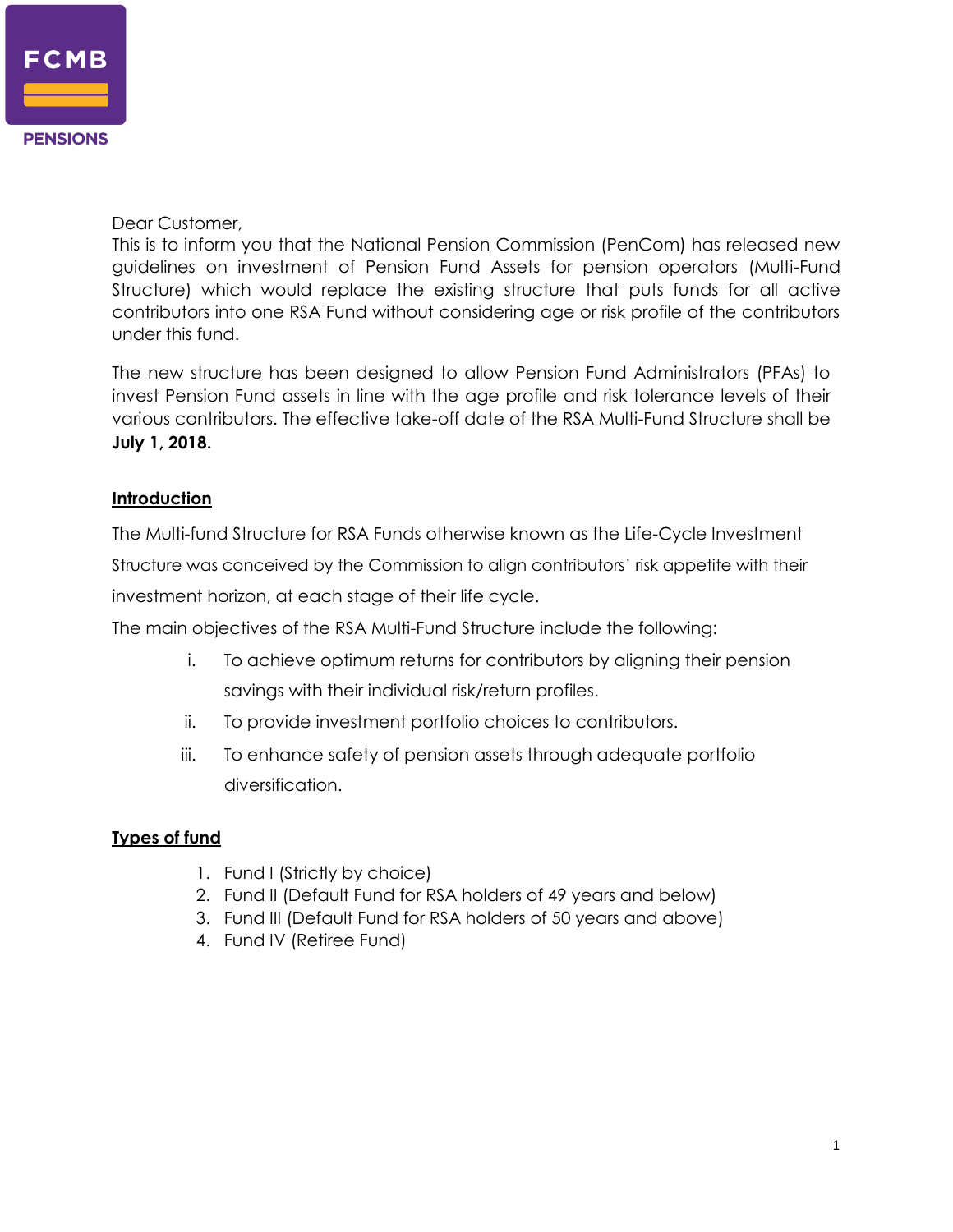

### Dear Customer,

This is to inform you that the National Pension Commission (PenCom) has released new guidelines on investment of Pension Fund Assets for pension operators (Multi-Fund Structure) which would replace the existing structure that puts funds for all active contributors into one RSA Fund without considering age or risk profile of the contributors under this fund.

The new structure has been designed to allow Pension Fund Administrators (PFAs) to invest Pension Fund assets in line with the age profile and risk tolerance levels of their various contributors. The effective take-off date of the RSA Multi-Fund Structure shall be **July 1, 2018.**

## **Introduction**

The Multi-fund Structure for RSA Funds otherwise known as the Life-Cycle Investment

Structure was conceived by the Commission to align contributors' risk appetite with their

investment horizon, at each stage of their life cycle.

The main objectives of the RSA Multi-Fund Structure include the following:

- i. To achieve optimum returns for contributors by aligning their pension savings with their individual risk/return profiles.
- ii. To provide investment portfolio choices to contributors.
- iii. To enhance safety of pension assets through adequate portfolio diversification.

## **Types of fund**

- 1. Fund I (Strictly by choice)
- 2. Fund II (Default Fund for RSA holders of 49 years and below)
- 3. Fund III (Default Fund for RSA holders of 50 years and above)
- 4. Fund IV (Retiree Fund)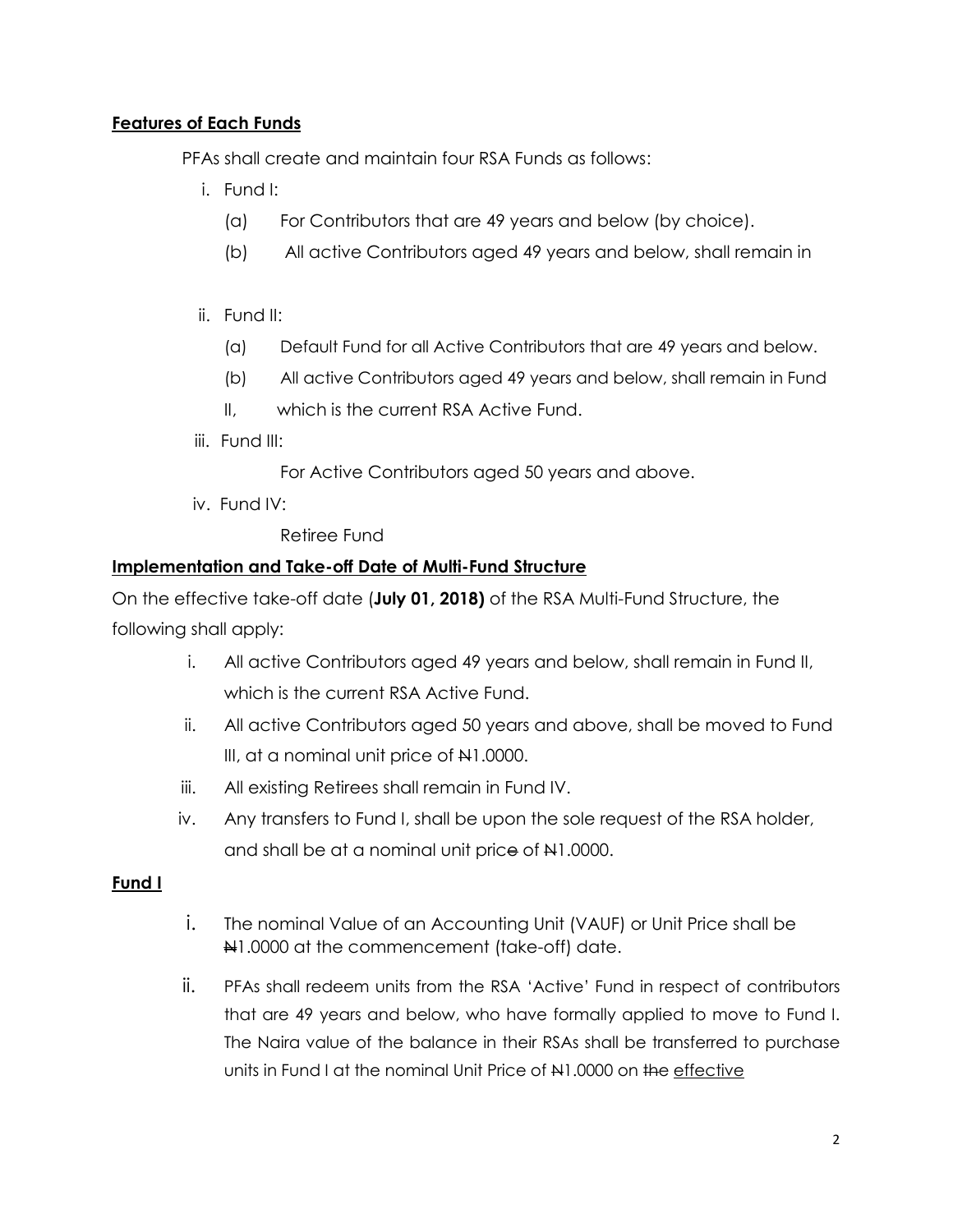# **Features of Each Funds**

PFAs shall create and maintain four RSA Funds as follows:

- i. Fund I:
	- (a) For Contributors that are 49 years and below (by choice).
	- (b) All active Contributors aged 49 years and below, shall remain in
- ii. Fund II:
	- (a) Default Fund for all Active Contributors that are 49 years and below.
	- (b) All active Contributors aged 49 years and below, shall remain in Fund
	- II, which is the current RSA Active Fund.
- iii. Fund III:

For Active Contributors aged 50 years and above.

iv. Fund IV:

Retiree Fund

# **Implementation and Take-off Date of Multi-Fund Structure**

On the effective take-off date (**July 01, 2018)** of the RSA Multi-Fund Structure, the following shall apply:

- i. All active Contributors aged 49 years and below, shall remain in Fund II, which is the current RSA Active Fund.
- ii. All active Contributors aged 50 years and above, shall be moved to Fund III, at a nominal unit price of  $\mu$ 1.0000.
- iii. All existing Retirees shall remain in Fund IV.
- iv. Any transfers to Fund I, shall be upon the sole request of the RSA holder, and shall be at a nominal unit price of N1.0000.

# **Fund I**

- i. The nominal Value of an Accounting Unit (VAUF) or Unit Price shall be N1.0000 at the commencement (take-off) date.
- ii. PFAs shall redeem units from the RSA 'Active' Fund in respect of contributors that are 49 years and below, who have formally applied to move to Fund I. The Naira value of the balance in their RSAs shall be transferred to purchase units in Fund I at the nominal Unit Price of N1.0000 on the effective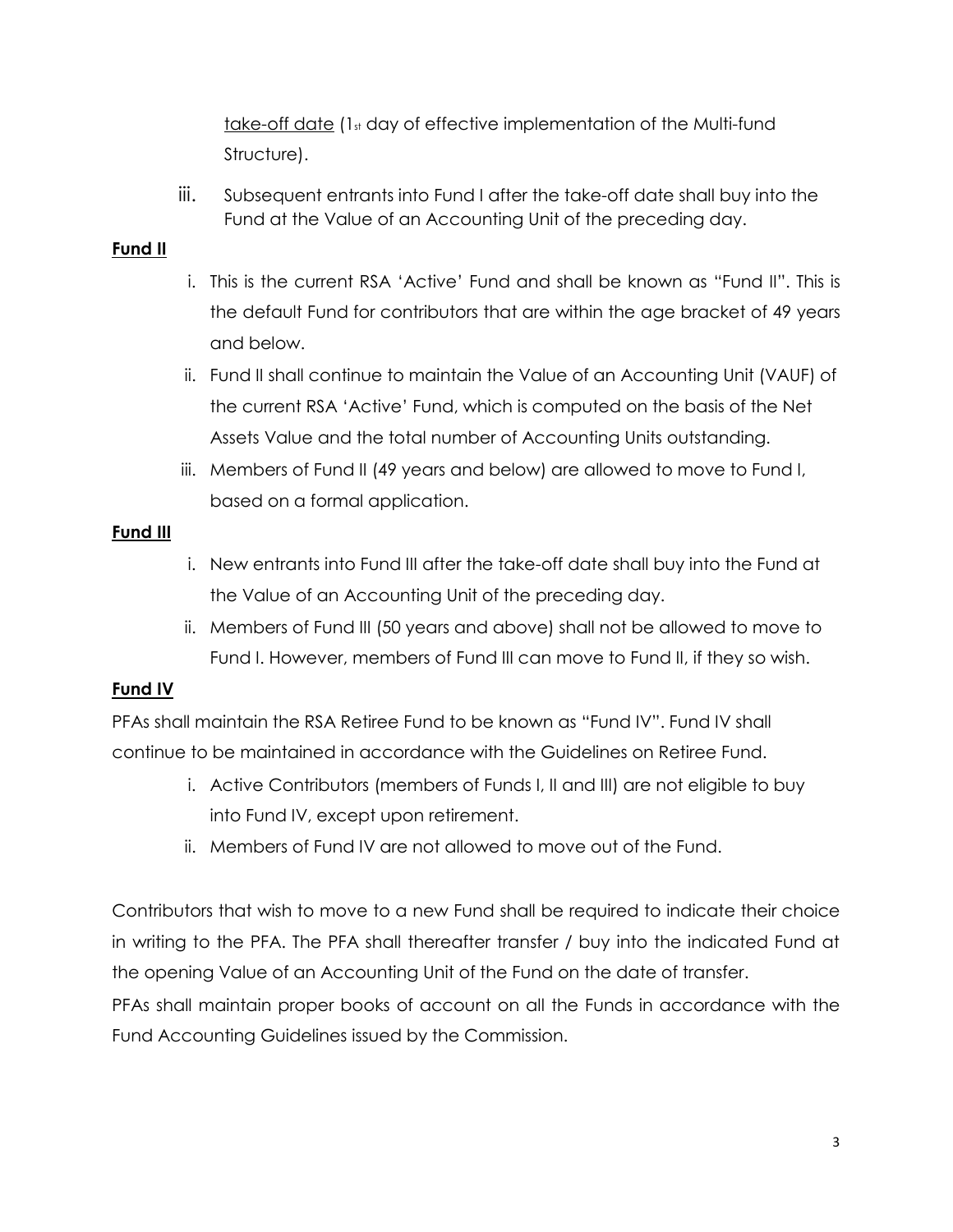take-off date (1st day of effective implementation of the Multi-fund Structure).

iii. Subsequent entrants into Fund I after the take-off date shall buy into the Fund at the Value of an Accounting Unit of the preceding day.

# **Fund II**

- i. This is the current RSA 'Active' Fund and shall be known as "Fund II". This is the default Fund for contributors that are within the age bracket of 49 years and below.
- ii. Fund II shall continue to maintain the Value of an Accounting Unit (VAUF) of the current RSA 'Active' Fund, which is computed on the basis of the Net Assets Value and the total number of Accounting Units outstanding.
- iii. Members of Fund II (49 years and below) are allowed to move to Fund I, based on a formal application.

# **Fund III**

- i. New entrants into Fund III after the take-off date shall buy into the Fund at the Value of an Accounting Unit of the preceding day.
- ii. Members of Fund III (50 years and above) shall not be allowed to move to Fund I. However, members of Fund III can move to Fund II, if they so wish.

# **Fund IV**

PFAs shall maintain the RSA Retiree Fund to be known as "Fund IV". Fund IV shall continue to be maintained in accordance with the Guidelines on Retiree Fund.

- i. Active Contributors (members of Funds I, II and III) are not eligible to buy into Fund IV, except upon retirement.
- ii. Members of Fund IV are not allowed to move out of the Fund.

Contributors that wish to move to a new Fund shall be required to indicate their choice in writing to the PFA. The PFA shall thereafter transfer / buy into the indicated Fund at the opening Value of an Accounting Unit of the Fund on the date of transfer.

PFAs shall maintain proper books of account on all the Funds in accordance with the Fund Accounting Guidelines issued by the Commission.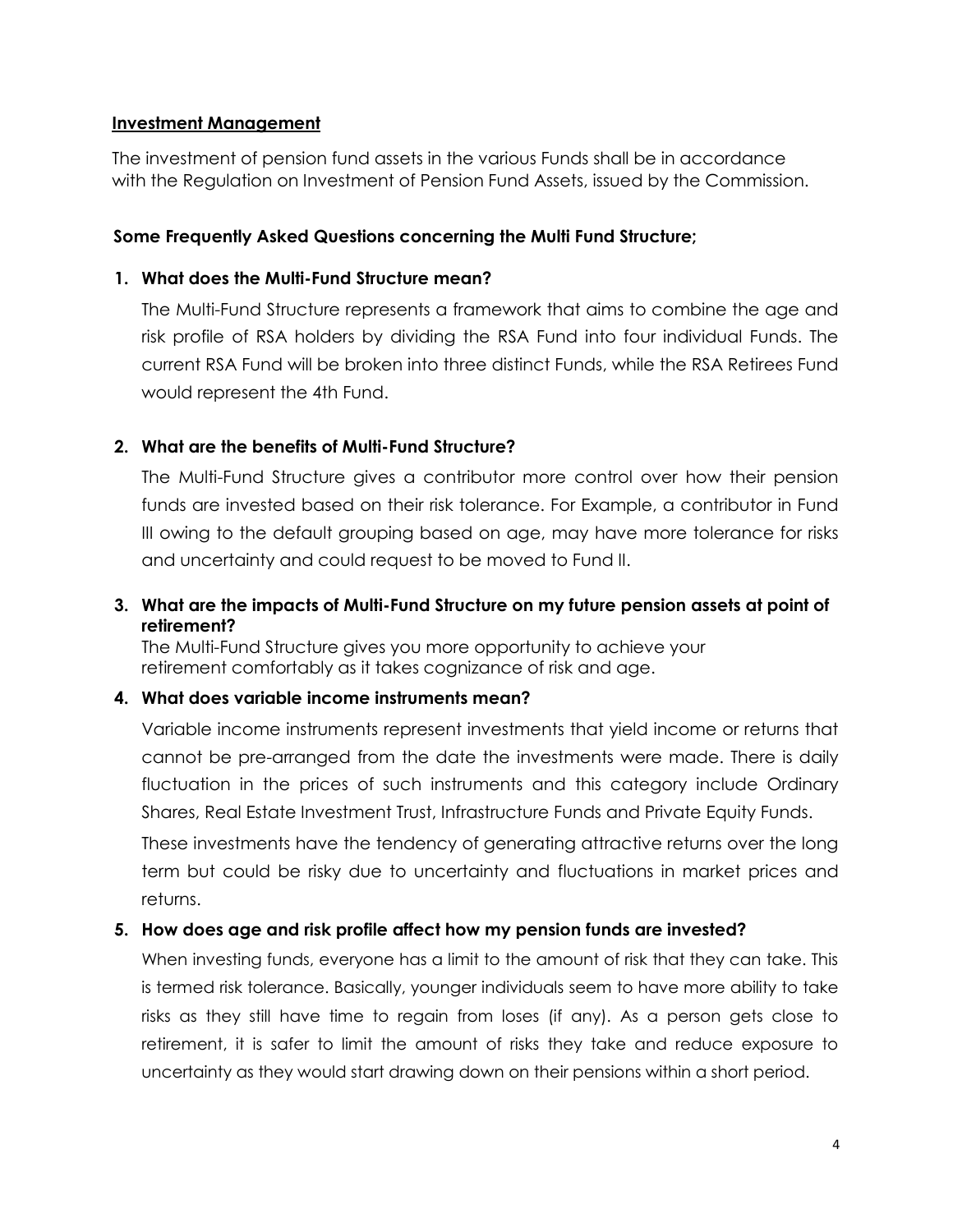#### **Investment Management**

The investment of pension fund assets in the various Funds shall be in accordance with the Regulation on Investment of Pension Fund Assets, issued by the Commission.

## **Some Frequently Asked Questions concerning the Multi Fund Structure;**

## **1. What does the Multi-Fund Structure mean?**

The Multi-Fund Structure represents a framework that aims to combine the age and risk profile of RSA holders by dividing the RSA Fund into four individual Funds. The current RSA Fund will be broken into three distinct Funds, while the RSA Retirees Fund would represent the 4th Fund.

# **2. What are the benefits of Multi-Fund Structure?**

The Multi-Fund Structure gives a contributor more control over how their pension funds are invested based on their risk tolerance. For Example, a contributor in Fund III owing to the default grouping based on age, may have more tolerance for risks and uncertainty and could request to be moved to Fund II.

# **3. What are the impacts of Multi-Fund Structure on my future pension assets at point of retirement?**

The Multi-Fund Structure gives you more opportunity to achieve your retirement comfortably as it takes cognizance of risk and age.

## **4. What does variable income instruments mean?**

Variable income instruments represent investments that yield income or returns that cannot be pre-arranged from the date the investments were made. There is daily fluctuation in the prices of such instruments and this category include Ordinary Shares, Real Estate Investment Trust, Infrastructure Funds and Private Equity Funds.

These investments have the tendency of generating attractive returns over the long term but could be risky due to uncertainty and fluctuations in market prices and returns.

# **5. How does age and risk profile affect how my pension funds are invested?**

When investing funds, everyone has a limit to the amount of risk that they can take. This is termed risk tolerance. Basically, younger individuals seem to have more ability to take risks as they still have time to regain from loses (if any). As a person gets close to retirement, it is safer to limit the amount of risks they take and reduce exposure to uncertainty as they would start drawing down on their pensions within a short period.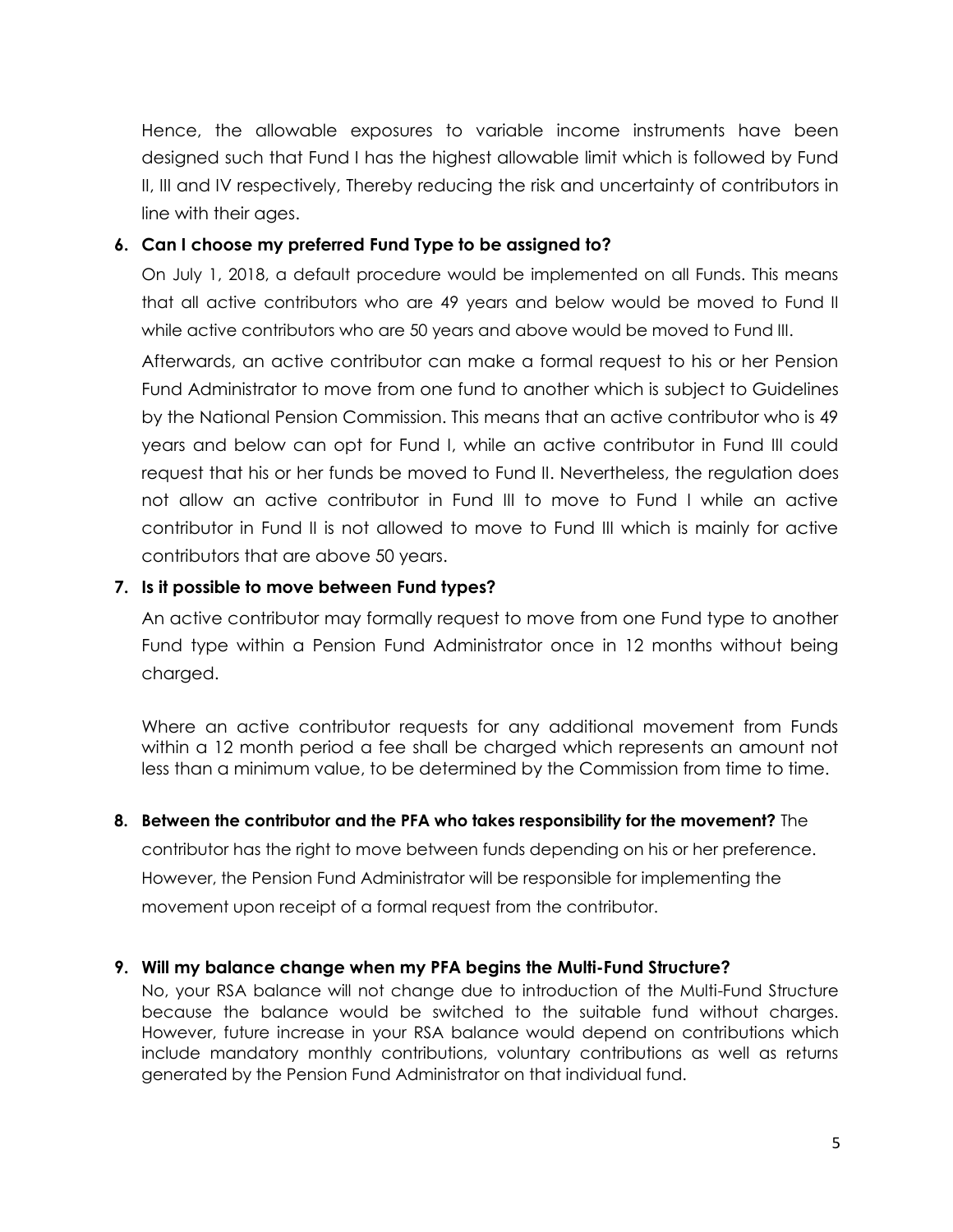Hence, the allowable exposures to variable income instruments have been designed such that Fund I has the highest allowable limit which is followed by Fund II, III and IV respectively, Thereby reducing the risk and uncertainty of contributors in line with their ages.

### **6. Can I choose my preferred Fund Type to be assigned to?**

On July 1, 2018, a default procedure would be implemented on all Funds. This means that all active contributors who are 49 years and below would be moved to Fund II while active contributors who are 50 years and above would be moved to Fund III.

Afterwards, an active contributor can make a formal request to his or her Pension Fund Administrator to move from one fund to another which is subject to Guidelines by the National Pension Commission. This means that an active contributor who is 49 years and below can opt for Fund I, while an active contributor in Fund III could request that his or her funds be moved to Fund II. Nevertheless, the regulation does not allow an active contributor in Fund III to move to Fund I while an active contributor in Fund II is not allowed to move to Fund III which is mainly for active contributors that are above 50 years.

## **7. Is it possible to move between Fund types?**

An active contributor may formally request to move from one Fund type to another Fund type within a Pension Fund Administrator once in 12 months without being charged.

Where an active contributor requests for any additional movement from Funds within a 12 month period a fee shall be charged which represents an amount not less than a minimum value, to be determined by the Commission from time to time.

**8. Between the contributor and the PFA who takes responsibility for the movement?** The

contributor has the right to move between funds depending on his or her preference. However, the Pension Fund Administrator will be responsible for implementing the movement upon receipt of a formal request from the contributor.

#### **9. Will my balance change when my PFA begins the Multi-Fund Structure?**

No, your RSA balance will not change due to introduction of the Multi-Fund Structure because the balance would be switched to the suitable fund without charges. However, future increase in your RSA balance would depend on contributions which include mandatory monthly contributions, voluntary contributions as well as returns generated by the Pension Fund Administrator on that individual fund.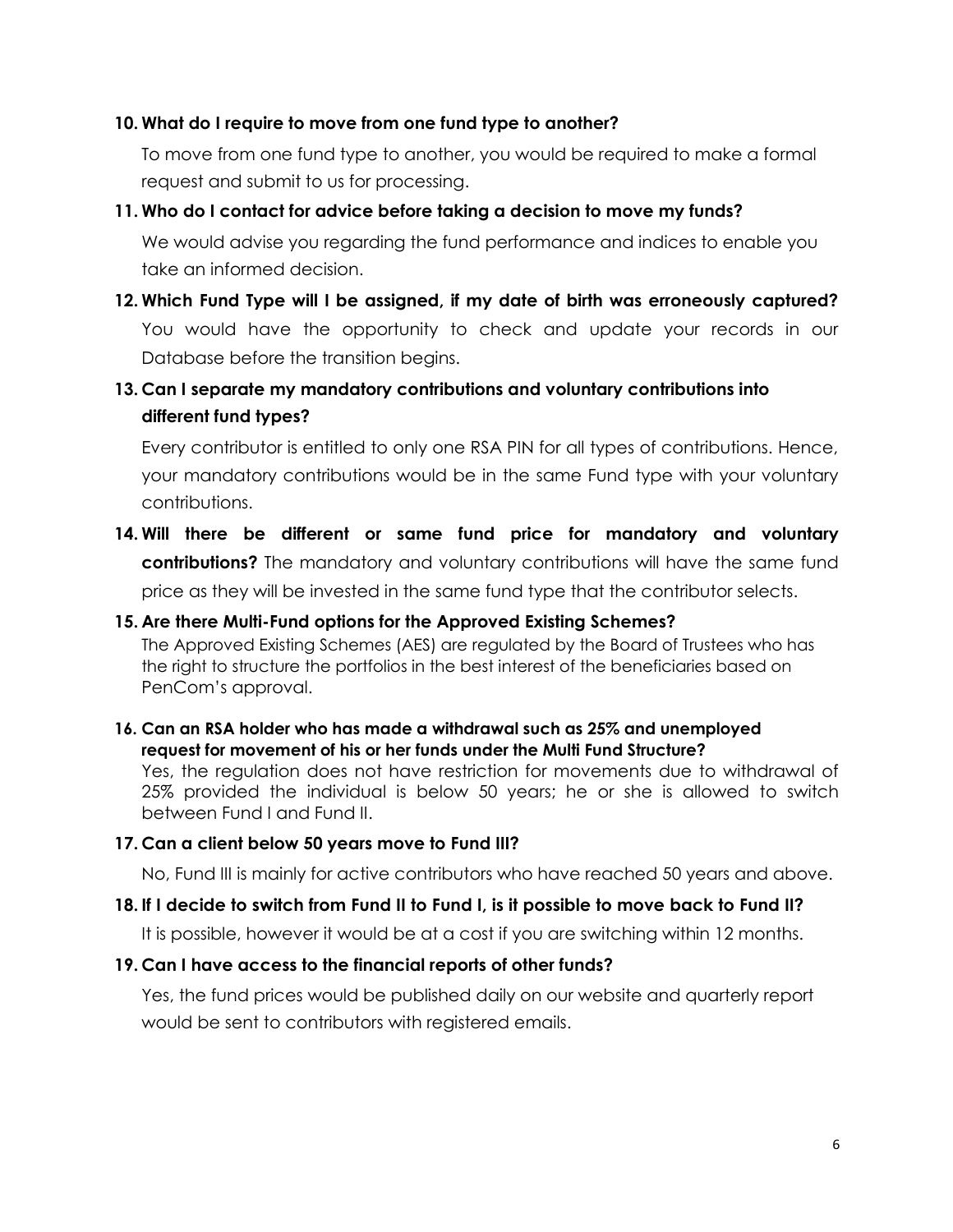#### **10. What do I require to move from one fund type to another?**

To move from one fund type to another, you would be required to make a formal request and submit to us for processing.

#### **11. Who do I contact for advice before taking a decision to move my funds?**

We would advise you regarding the fund performance and indices to enable you take an informed decision.

# **12. Which Fund Type will I be assigned, if my date of birth was erroneously captured?**  You would have the opportunity to check and update your records in our Database before the transition begins.

# **13. Can I separate my mandatory contributions and voluntary contributions into different fund types?**

Every contributor is entitled to only one RSA PIN for all types of contributions. Hence, your mandatory contributions would be in the same Fund type with your voluntary contributions.

**14. Will there be different or same fund price for mandatory and voluntary contributions?** The mandatory and voluntary contributions will have the same fund price as they will be invested in the same fund type that the contributor selects.

### **15. Are there Multi-Fund options for the Approved Existing Schemes?**

The Approved Existing Schemes (AES) are regulated by the Board of Trustees who has the right to structure the portfolios in the best interest of the beneficiaries based on PenCom's approval.

#### **16. Can an RSA holder who has made a withdrawal such as 25% and unemployed request for movement of his or her funds under the Multi Fund Structure?**

Yes, the regulation does not have restriction for movements due to withdrawal of 25% provided the individual is below 50 years; he or she is allowed to switch between Fund I and Fund II.

## **17. Can a client below 50 years move to Fund III?**

No, Fund III is mainly for active contributors who have reached 50 years and above.

## **18. If I decide to switch from Fund II to Fund I, is it possible to move back to Fund II?**

It is possible, however it would be at a cost if you are switching within 12 months.

#### **19. Can I have access to the financial reports of other funds?**

Yes, the fund prices would be published daily on our website and quarterly report would be sent to contributors with registered emails.